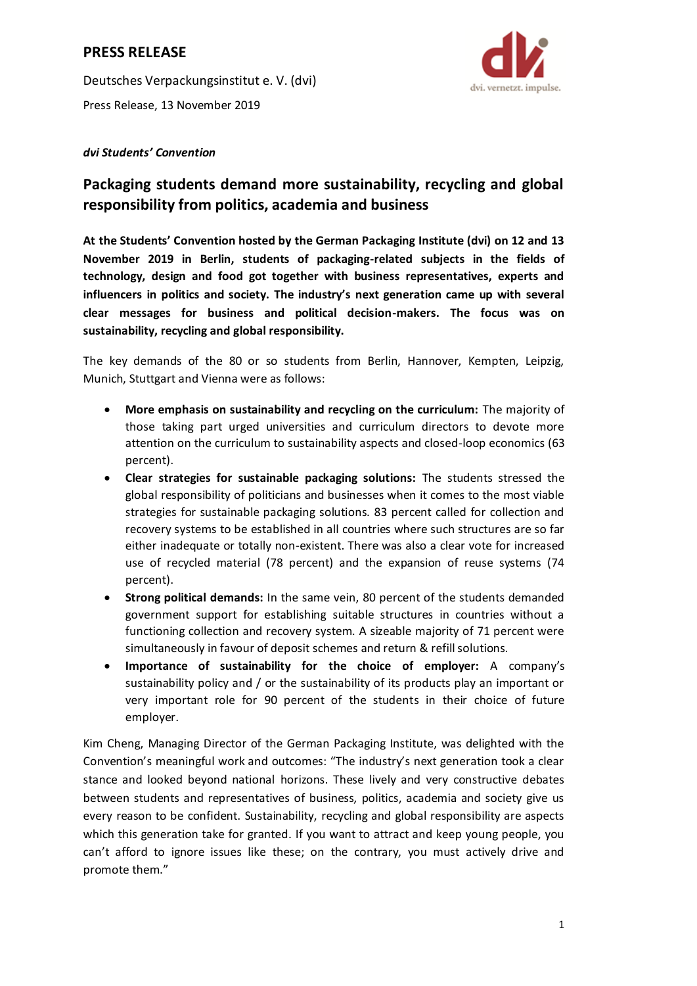## **PRESS RELEASE**

Deutsches Verpackungsinstitut e. V. (dvi) Press Release, 13 November 2019



### *dvi Students' Convention*

# **Packaging students demand more sustainability, recycling and global responsibility from politics, academia and business**

**At the Students' Convention hosted by the German Packaging Institute (dvi) on 12 and 13 November 2019 in Berlin, students of packaging-related subjects in the fields of technology, design and food got together with business representatives, experts and influencers in politics and society. The industry's next generation came up with several clear messages for business and political decision-makers. The focus was on sustainability, recycling and global responsibility.**

The key demands of the 80 or so students from Berlin, Hannover, Kempten, Leipzig, Munich, Stuttgart and Vienna were as follows:

- **More emphasis on sustainability and recycling on the curriculum:** The majority of those taking part urged universities and curriculum directors to devote more attention on the curriculum to sustainability aspects and closed-loop economics (63 percent).
- **Clear strategies for sustainable packaging solutions:** The students stressed the global responsibility of politicians and businesses when it comes to the most viable strategies for sustainable packaging solutions. 83 percent called for collection and recovery systems to be established in all countries where such structures are so far either inadequate or totally non-existent. There was also a clear vote for increased use of recycled material (78 percent) and the expansion of reuse systems (74 percent).
- **Strong political demands:** In the same vein, 80 percent of the students demanded government support for establishing suitable structures in countries without a functioning collection and recovery system. A sizeable majority of 71 percent were simultaneously in favour of deposit schemes and return & refill solutions.
- **Importance of sustainability for the choice of employer:** A company's sustainability policy and / or the sustainability of its products play an important or very important role for 90 percent of the students in their choice of future employer.

Kim Cheng, Managing Director of the German Packaging Institute, was delighted with the Convention's meaningful work and outcomes: "The industry's next generation took a clear stance and looked beyond national horizons. These lively and very constructive debates between students and representatives of business, politics, academia and society give us every reason to be confident. Sustainability, recycling and global responsibility are aspects which this generation take for granted. If you want to attract and keep young people, you can't afford to ignore issues like these; on the contrary, you must actively drive and promote them."